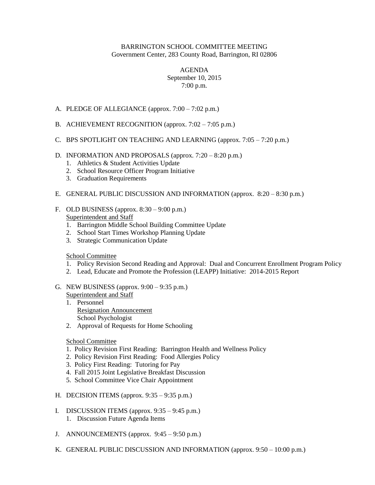## BARRINGTON SCHOOL COMMITTEE MEETING Government Center, 283 County Road, Barrington, RI 02806

## AGENDA September 10, 2015 7:00 p.m.

- A. PLEDGE OF ALLEGIANCE (approx. 7:00 7:02 p.m.)
- B. ACHIEVEMENT RECOGNITION (approx. 7:02 7:05 p.m.)
- C. BPS SPOTLIGHT ON TEACHING AND LEARNING (approx. 7:05 7:20 p.m.)

## D. INFORMATION AND PROPOSALS (approx. 7:20 – 8:20 p.m.)

- 1. Athletics & Student Activities Update
- 2. School Resource Officer Program Initiative
- 3. Graduation Requirements
- E. GENERAL PUBLIC DISCUSSION AND INFORMATION (approx. 8:20 8:30 p.m.)
- F. OLD BUSINESS (approx.  $8:30 9:00$  p.m.) Superintendent and Staff
	- 1. Barrington Middle School Building Committee Update
	- 2. School Start Times Workshop Planning Update
	- 3. Strategic Communication Update

## School Committee

- 1. Policy Revision Second Reading and Approval: Dual and Concurrent Enrollment Program Policy
- 2. Lead, Educate and Promote the Profession (LEAPP) Initiative: 2014-2015 Report
- G. NEW BUSINESS (approx. 9:00 9:35 p.m.) Superintendent and Staff
	- 1. Personnel Resignation Announcement School Psychologist
	- 2. Approval of Requests for Home Schooling

School Committee

- 1. Policy Revision First Reading: Barrington Health and Wellness Policy
- 2. Policy Revision First Reading: Food Allergies Policy
- 3. Policy First Reading: Tutoring for Pay
- 4. Fall 2015 Joint Legislative Breakfast Discussion
- 5. School Committee Vice Chair Appointment
- H. DECISION ITEMS (approx. 9:35 9:35 p.m.)
- I. DISCUSSION ITEMS (approx. 9:35 9:45 p.m.)
	- 1. Discussion Future Agenda Items
- J. ANNOUNCEMENTS (approx. 9:45 9:50 p.m.)
- K. GENERAL PUBLIC DISCUSSION AND INFORMATION (approx. 9:50 10:00 p.m.)